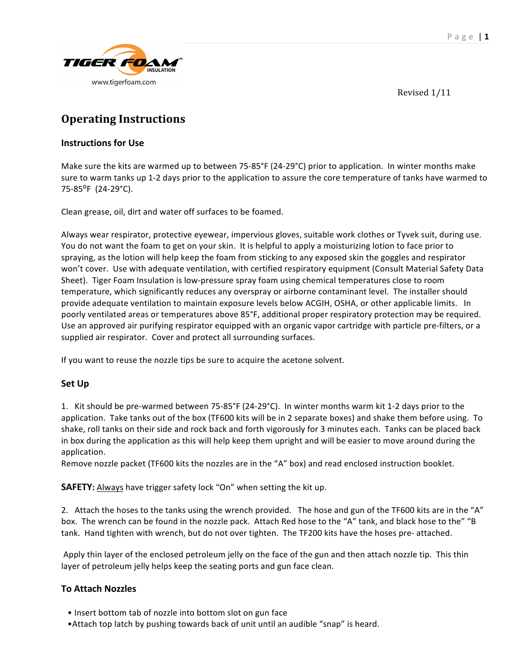

Revised
1/11

# **Operating
Instructions**

### **Instructions
for
Use**

Make sure the kits are warmed up to between 75-85°F (24-29°C) prior to application. In winter months make sure to warm tanks up 1-2 days prior to the application to assure the core temperature of tanks have warmed to 75‐85⁰F

(24‐29°C).

Clean
grease,
oil,
dirt
and
water
off
surfaces
to
be
foamed.

Always wear respirator, protective eyewear, impervious gloves, suitable work clothes or Tyvek suit, during use. You do not want the foam to get on your skin. It is helpful to apply a moisturizing lotion to face prior to spraying, as the lotion will help keep the foam from sticking to any exposed skin the goggles and respirator won't cover. Use with adequate ventilation, with certified respiratory equipment (Consult Material Safety Data Sheet). Tiger Foam Insulation is low-pressure spray foam using chemical temperatures close to room temperature, which significantly reduces any overspray or airborne contaminant level. The installer should provide adequate ventilation to maintain exposure levels below ACGIH, OSHA, or other applicable limits. In poorly
ventilated
areas
or
temperatures
above
85°F,
additional
proper
respiratory
protection
may
be
required. Use an approved air purifying respirator equipped with an organic vapor cartridge with particle pre-filters, or a supplied
air
respirator.

Cover
and
protect
all
surrounding
surfaces.

If you want to reuse the nozzle tips be sure to acquire the acetone solvent.

# **Set
Up**

1. Kit should be pre-warmed between 75-85°F (24-29°C). In winter months warm kit 1-2 days prior to the application. Take tanks out of the box (TF600 kits will be in 2 separate boxes) and shake them before using. To shake, roll tanks on their side and rock back and forth vigorously for 3 minutes each. Tanks can be placed back in box during the application as this will help keep them upright and will be easier to move around during the application.

Remove nozzle packet (TF600 kits the nozzles are in the "A" box) and read enclosed instruction booklet.

**SAFETY:** Always have trigger safety lock "On" when setting the kit up.

2. Attach the hoses to the tanks using the wrench provided. The hose and gun of the TF600 kits are in the "A" box. The wrench can be found in the nozzle pack. Attach Red hose to the "A" tank, and black hose to the" "B tank. Hand tighten with wrench, but do not over tighten. The TF200 kits have the hoses pre-attached.

Apply thin layer of the enclosed petroleum jelly on the face of the gun and then attach nozzle tip. This thin layer of petroleum jelly helps keep the seating ports and gun face clean.

# **To
Attach
Nozzles**

- Insert bottom tab of nozzle into bottom slot on gun face
- Attach top latch by pushing towards back of unit until an audible "snap" is heard.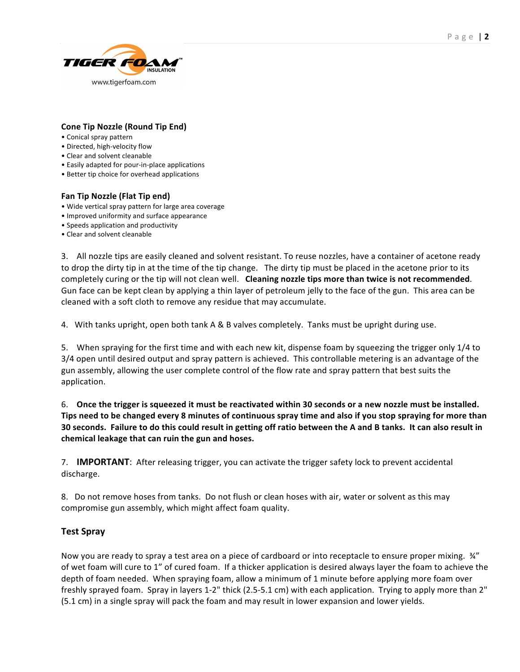

#### **Cone
Tip
Nozzle
(Round
Tip
End)**

- •
Conical
spray
pattern
- Directed, high-velocity flow
- •
Clear
and
solvent
cleanable
- Easily adapted for pour-in-place applications
- Better tip choice for overhead applications

#### Fan Tip Nozzle (Flat Tip end)

- •
Wide
vertical
spray
pattern
for
large
area
coverage
- •
Improved
uniformity
and
surface
appearance
- Speeds application and productivity
- •
Clear
and
solvent
cleanable

3. All nozzle tips are easily cleaned and solvent resistant. To reuse nozzles, have a container of acetone ready to drop the dirty tip in at the time of the tip change. The dirty tip must be placed in the acetone prior to its completely curing or the tip will not clean well. Cleaning nozzle tips more than twice is not recommended. Gun face can be kept clean by applying a thin layer of petroleum jelly to the face of the gun. This area can be cleaned
with
a
soft
cloth
to
remove
any
residue
that
may
accumulate.

4. With tanks upright, open both tank A & B valves completely. Tanks must be upright during use.

5. When spraying for the first time and with each new kit, dispense foam by squeezing the trigger only 1/4 to 3/4 open until desired output and spray pattern is achieved. This controllable metering is an advantage of the gun assembly, allowing the user complete control of the flow rate and spray pattern that best suits the application.

6. Once the trigger is squeezed it must be reactivated within 30 seconds or a new nozzle must be installed. Tips need to be changed every 8 minutes of continuous spray time and also if you stop spraying for more than 30 seconds. Failure to do this could result in getting off ratio between the A and B tanks. It can also result in **chemical
leakage
that
can
ruin
the
gun
and
hoses.** 

7. **IMPORTANT**: After releasing trigger, you can activate the trigger safety lock to prevent accidental discharge.

8. Do not remove hoses from tanks. Do not flush or clean hoses with air, water or solvent as this may compromise
gun
assembly,
which
might
affect
foam
quality.

### **Test
Spray**

Now you are ready to spray a test area on a piece of cardboard or into receptacle to ensure proper mixing.  $\frac{3}{4}$ " of
wet
foam
will
cure
to
1"
of
cured
foam.

If
a
thicker
application
is
desired
always
layer
the
foam
to
achieve
the depth of foam needed. When spraying foam, allow a minimum of 1 minute before applying more foam over freshly sprayed foam. Spray in layers 1-2" thick (2.5-5.1 cm) with each application. Trying to apply more than 2" (5.1
cm)
in
a
single
spray
will
pack
the
foam
and
may
result
in
lower
expansion
and
lower
yields.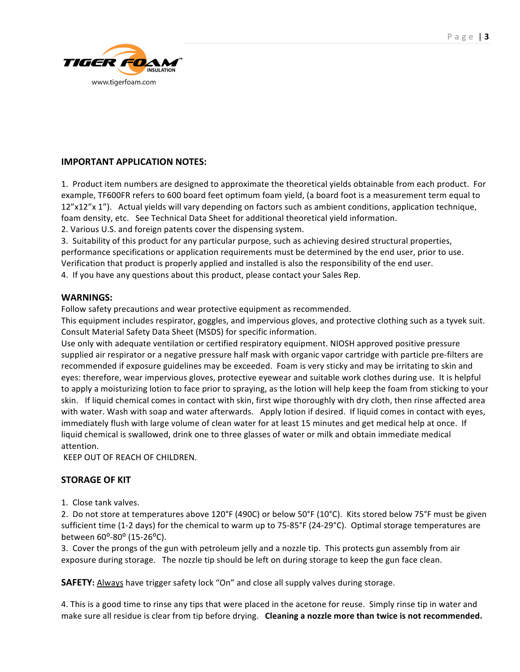

# **IMPORTANT
APPLICATION
NOTES:**

1. Product item numbers are designed to approximate the theoretical yields obtainable from each product. For example, TF600FR refers to 600 board feet optimum foam yield, (a board foot is a measurement term equal to 12"x12"x 1"). Actual yields will vary depending on factors such as ambient conditions, application technique, foam density, etc. See Technical Data Sheet for additional theoretical yield information.

2.
Various
U.S.
and
foreign
patents
cover
the
dispensing
system.

3. Suitability of this product for any particular purpose, such as achieving desired structural properties, performance specifications or application requirements must be determined by the end user, prior to use. Verification that product is properly applied and installed is also the responsibility of the end user.

4.

If
you
have
any
questions
about
this
product,
please
contact
your
Sales
Rep.

### **WARNINGS:**

Follow
safety
precautions
and
wear
protective
equipment
as
recommended.

This equipment includes respirator, goggles, and impervious gloves, and protective clothing such as a tyvek suit. Consult
Material
Safety
Data
Sheet
(MSDS)
for
specific
information.

Use only with adequate ventilation or certified respiratory equipment. NIOSH approved positive pressure supplied air respirator or a negative pressure half mask with organic vapor cartridge with particle pre-filters are recommended if exposure guidelines may be exceeded. Foam is very sticky and may be irritating to skin and eyes: therefore, wear impervious gloves, protective eyewear and suitable work clothes during use. It is helpful to apply a moisturizing lotion to face prior to spraying, as the lotion will help keep the foam from sticking to your skin. If liquid chemical comes in contact with skin, first wipe thoroughly with dry cloth, then rinse affected area with water. Wash with soap and water afterwards. Apply lotion if desired. If liquid comes in contact with eyes, immediately flush with large volume of clean water for at least 15 minutes and get medical help at once. If liquid chemical is swallowed, drink one to three glasses of water or milk and obtain immediate medical attention.

KEEP OUT OF REACH OF CHILDREN.

# **STORAGE
OF
KIT**

1.Close
tank
valves.

2. Do not store at temperatures above 120°F (490C) or below 50°F (10°C). Kits stored below 75°F must be given sufficient time (1-2 days) for the chemical to warm up to 75-85°F (24-29°C). Optimal storage temperatures are between 60°-80° (15-26°C).

3. Cover the prongs of the gun with petroleum jelly and a nozzle tip. This protects gun assembly from air exposure during storage. The nozzle tip should be left on during storage to keep the gun face clean.

SAFETY: Always have trigger safety lock "On" and close all supply valves during storage.

4. This is a good time to rinse any tips that were placed in the acetone for reuse. Simply rinse tip in water and make sure all residue is clear from tip before drying. Cleaning a nozzle more than twice is not recommended.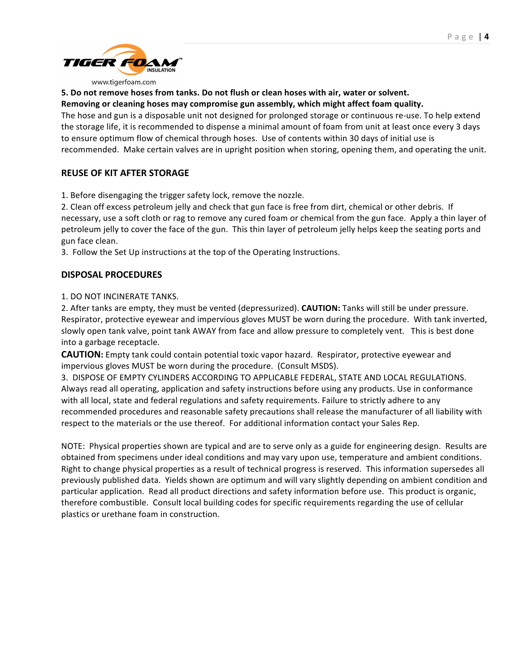

#### www.tigerfoam.com

# 5. Do not remove hoses from tanks. Do not flush or clean hoses with air, water or solvent.

#### **Removing
or
cleaning
hoses
may
compromise
gun
assembly,
which
might
affect
foam
quality.**

The hose and gun is a disposable unit not designed for prolonged storage or continuous re-use. To help extend the
storage
life,
it
is
recommended
to
dispense
a
minimal
amount
of
foam
from
unit
at
least
once
every
3
days to ensure optimum flow of chemical through hoses. Use of contents within 30 days of initial use is recommended. Make certain valves are in upright position when storing, opening them, and operating the unit.

### **REUSE
OF
KIT
AFTER
STORAGE**

1.
Before
disengaging
the
trigger
safety
lock, remove
the
nozzle.

2. Clean off excess petroleum jelly and check that gun face is free from dirt, chemical or other debris. If necessary, use a soft cloth or rag to remove any cured foam or chemical from the gun face. Apply a thin layer of petroleum jelly to cover the face of the gun. This thin layer of petroleum jelly helps keep the seating ports and gun
face
clean.

3.

Follow
the
Set
Up
instructions
at
the
top
of
the
Operating
Instructions.

# **DISPOSAL
PROCEDURES**

### 1.
DO
NOT
INCINERATE
TANKS.

2. After tanks are empty, they must be vented (depressurized). CAUTION: Tanks will still be under pressure. Respirator, protective
eyewear
and
impervious
gloves
MUST
be
worn
during
the
procedure.

With
tank
inverted, slowly open tank valve, point tank AWAY from face and allow pressure to completely vent. This is best done into
a
garbage
receptacle.

CAUTION: Empty tank could contain potential toxic vapor hazard. Respirator, protective eyewear and impervious
gloves
MUST
be
worn
during
the
procedure.

(Consult
MSDS).

3.

DISPOSE
OF
EMPTY
CYLINDERS
ACCORDING
TO
APPLICABLE
FEDERAL,
STATE
AND
LOCAL REGULATIONS. Always
read
all
operating,
application
and
safety
instructions
before
using
any
products.
Use
in
conformance with all local, state and federal regulations and safety requirements. Failure to strictly adhere to any recommended procedures and reasonable safety precautions shall release the manufacturer of all liability with respect to the materials or the use thereof. For additional information contact your Sales Rep.

NOTE: Physical properties shown are typical and are to serve only as a guide for engineering design. Results are obtained
from
specimens
under
ideal
conditions
and
may
vary
upon
use,
temperature
and
ambient
conditions. Right to change physical properties as a result of technical progress is reserved. This information supersedes all previously published data. Yields shown are optimum and will vary slightly depending on ambient condition and particular application. Read all product directions and safety information before use. This product is organic, therefore combustible. Consult local building codes for specific requirements regarding the use of cellular plastics
or
urethane
foam
in
construction.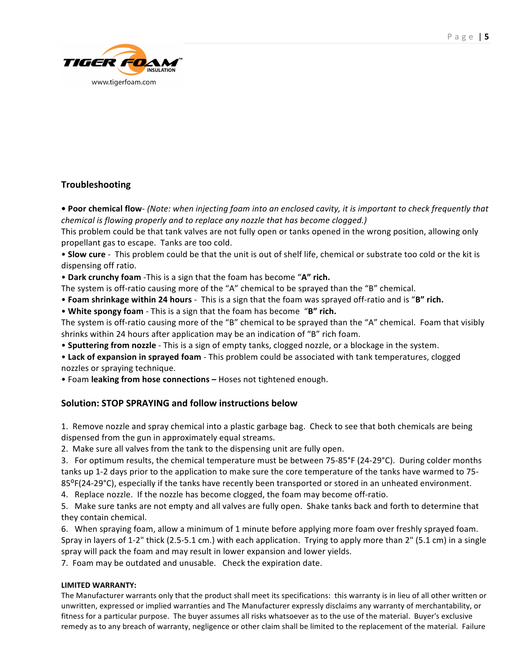

# **Troubleshooting**

● Poor chemical flow- (Note: when injecting foam into an enclosed cavity, it is important to check frequently that *chemical
is
flowing
properly
and
to
replace
any
nozzle
that
has
become
clogged.)* 

This problem could be that tank valves are not fully open or tanks opened in the wrong position, allowing only propellant
gas
to
escape.

Tanks
are
too
cold.

• Slow cure - This problem could be that the unit is out of shelf life, chemical or substrate too cold or the kit is dispensing
off
ratio.

• Dark crunchy foam - This is a sign that the foam has become "A" rich.

The system is off-ratio causing more of the "A" chemical to be sprayed than the "B" chemical.

• **Foam shrinkage within 24 hours** - This is a sign that the foam was sprayed off-ratio and is "B" rich.

• White spongy foam - This is a sign that the foam has become "B" rich.

The system is off-ratio causing more of the "B" chemical to be sprayed than the "A" chemical. Foam that visibly shrinks within 24 hours after application may be an indication of "B" rich foam.

• Sputtering from nozzle - This is a sign of empty tanks, clogged nozzle, or a blockage in the system.

• Lack of expansion in sprayed foam - This problem could be associated with tank temperatures, clogged nozzles
or
spraying
technique.

• Foam leaking from hose connections – Hoses not tightened enough.

# **Solution:
STOP
SPRAYING
and
follow
instructions
below**

1.

Remove
nozzle
and
spray
chemical
into
a
plastic
garbage
bag. Check
to
see
that
both
chemicals
are
being dispensed
from
the
gun
in
approximately
equal
streams.

2. Make sure all valves from the tank to the dispensing unit are fully open.

3. For optimum results, the chemical temperature must be between 75-85°F (24-29°C). During colder months tanks up 1-2 days prior to the application to make sure the core temperature of the tanks have warmed to 75-85<sup>o</sup>F(24-29<sup>o</sup>C), especially if the tanks have recently been transported or stored in an unheated environment.

4. Replace nozzle. If the nozzle has become clogged, the foam may become off-ratio.

5. Make sure tanks are not empty and all valves are fully open. Shake tanks back and forth to determine that they
contain
chemical.

6. When spraying foam, allow a minimum of 1 minute before applying more foam over freshly sprayed foam. Spray in layers of 1-2" thick (2.5-5.1 cm.) with each application. Trying to apply more than 2" (5.1 cm) in a single spray
will
pack
the
foam
and
may
result
in
lower
expansion
and
lower
yields.

7.

Foam
may
be
outdated
and
unusable.

Check
the
expiration
date.

### **LIMITED
WARRANTY:**

The Manufacturer warrants only that the product shall meet its specifications: this warranty is in lieu of all other written or unwritten, expressed or implied warranties and The Manufacturer expressly disclaims any warranty of merchantability, or fitness for a particular purpose. The buyer assumes all risks whatsoever as to the use of the material. Buyer's exclusive remedy as to any breach of warranty, negligence or other claim shall be limited to the replacement of the material. Failure